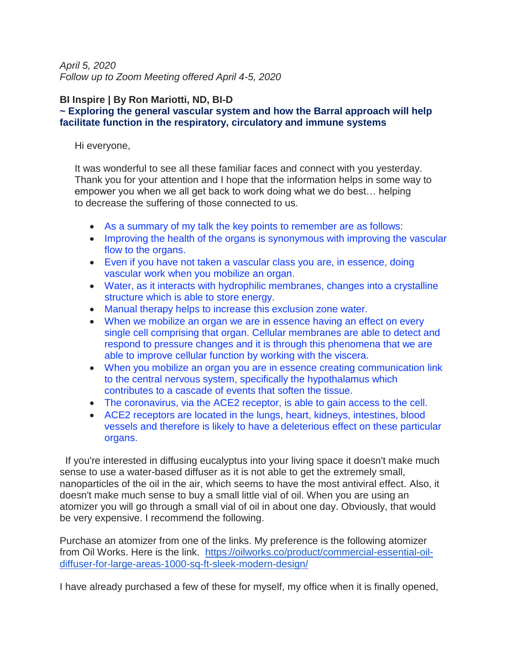*April 5, 2020 Follow up to Zoom Meeting offered April 4-5, 2020*

#### **BI Inspire | By Ron Mariotti, ND, BI-D ~ Exploring the general vascular system and how the Barral approach will help facilitate function in the respiratory, circulatory and immune systems**

Hi everyone,

It was wonderful to see all these familiar faces and connect with you yesterday. Thank you for your attention and I hope that the information helps in some way to empower you when we all get back to work doing what we do best… helping to decrease the suffering of those connected to us.

- As a summary of my talk the key points to remember are as follows:
- Improving the health of the organs is synonymous with improving the vascular flow to the organs.
- Even if you have not taken a vascular class you are, in essence, doing vascular work when you mobilize an organ.
- Water, as it interacts with hydrophilic membranes, changes into a crystalline structure which is able to store energy.
- Manual therapy helps to increase this exclusion zone water.
- When we mobilize an organ we are in essence having an effect on every single cell comprising that organ. Cellular membranes are able to detect and respond to pressure changes and it is through this phenomena that we are able to improve cellular function by working with the viscera.
- When you mobilize an organ you are in essence creating communication link to the central nervous system, specifically the hypothalamus which contributes to a cascade of events that soften the tissue.
- The coronavirus, via the ACE2 receptor, is able to gain access to the cell.
- ACE2 receptors are located in the lungs, heart, kidneys, intestines, blood vessels and therefore is likely to have a deleterious effect on these particular organs.

If you're interested in diffusing eucalyptus into your living space it doesn't make much sense to use a water-based diffuser as it is not able to get the extremely small, nanoparticles of the oil in the air, which seems to have the most antiviral effect. Also, it doesn't make much sense to buy a small little vial of oil. When you are using an atomizer you will go through a small vial of oil in about one day. Obviously, that would be very expensive. I recommend the following.

Purchase an atomizer from one of the links. My preference is the following atomizer from Oil Works. Here is the link. [https://oilworks.co/product/commercial-essential-oil](https://oilworks.co/product/commercial-essential-oil-diffuser-for-large-areas-1000-sq-ft-sleek-modern-design/)[diffuser-for-large-areas-1000-sq-ft-sleek-modern-design/](https://oilworks.co/product/commercial-essential-oil-diffuser-for-large-areas-1000-sq-ft-sleek-modern-design/)

I have already purchased a few of these for myself, my office when it is finally opened,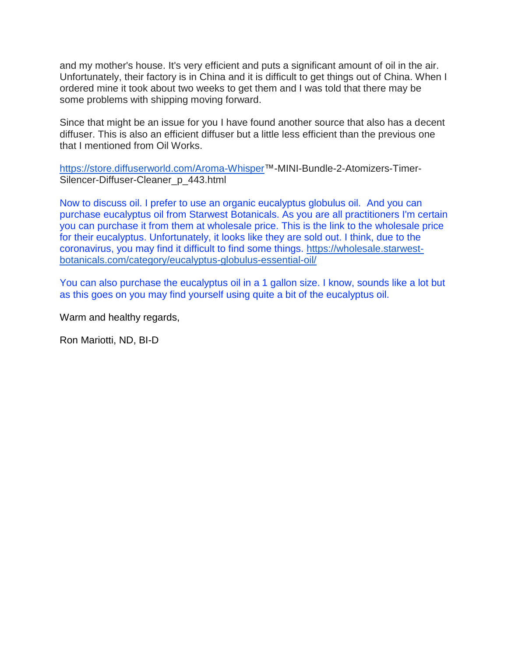and my mother's house. It's very efficient and puts a significant amount of oil in the air. Unfortunately, their factory is in China and it is difficult to get things out of China. When I ordered mine it took about two weeks to get them and I was told that there may be some problems with shipping moving forward.

Since that might be an issue for you I have found another source that also has a decent diffuser. This is also an efficient diffuser but a little less efficient than the previous one that I mentioned from Oil Works.

[https://store.diffuserworld.com/Aroma-Whisper™](https://store.diffuserworld.com/Aroma-Whisper)-MINI-Bundle-2-Atomizers-Timer-Silencer-Diffuser-Cleaner p 443.html

Now to discuss oil. I prefer to use an organic eucalyptus globulus oil. And you can purchase eucalyptus oil from Starwest Botanicals. As you are all practitioners I'm certain you can purchase it from them at wholesale price. This is the link to the wholesale price for their eucalyptus. Unfortunately, it looks like they are sold out. I think, due to the coronavirus, you may find it difficult to find some things. [https://wholesale.starwest](https://wholesale.starwest-botanicals.com/category/eucalyptus-globulus-essential-oil/)[botanicals.com/category/eucalyptus-globulus-essential-oil/](https://wholesale.starwest-botanicals.com/category/eucalyptus-globulus-essential-oil/)

You can also purchase the eucalyptus oil in a 1 gallon size. I know, sounds like a lot but as this goes on you may find yourself using quite a bit of the eucalyptus oil.

Warm and healthy regards,

Ron Mariotti, ND, BI-D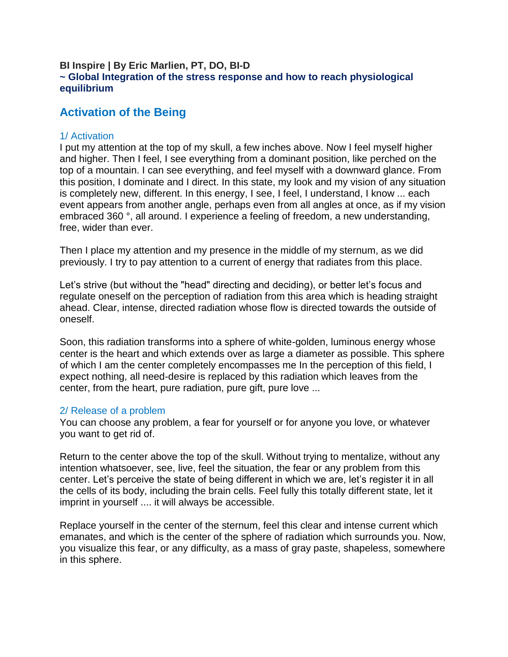#### **BI Inspire | By Eric Marlien, PT, DO, BI-D ~ Global Integration of the stress response and how to reach physiological equilibrium**

# **Activation of the Being**

### 1/ Activation

I put my attention at the top of my skull, a few inches above. Now I feel myself higher and higher. Then I feel, I see everything from a dominant position, like perched on the top of a mountain. I can see everything, and feel myself with a downward glance. From this position, I dominate and I direct. In this state, my look and my vision of any situation is completely new, different. In this energy, I see, I feel, I understand, I know ... each event appears from another angle, perhaps even from all angles at once, as if my vision embraced 360 °, all around. I experience a feeling of freedom, a new understanding, free, wider than ever.

Then I place my attention and my presence in the middle of my sternum, as we did previously. I try to pay attention to a current of energy that radiates from this place.

Let's strive (but without the "head" directing and deciding), or better let's focus and regulate oneself on the perception of radiation from this area which is heading straight ahead. Clear, intense, directed radiation whose flow is directed towards the outside of oneself.

Soon, this radiation transforms into a sphere of white-golden, luminous energy whose center is the heart and which extends over as large a diameter as possible. This sphere of which I am the center completely encompasses me In the perception of this field, I expect nothing, all need-desire is replaced by this radiation which leaves from the center, from the heart, pure radiation, pure gift, pure love ...

### 2/ Release of a problem

You can choose any problem, a fear for yourself or for anyone you love, or whatever you want to get rid of.

Return to the center above the top of the skull. Without trying to mentalize, without any intention whatsoever, see, live, feel the situation, the fear or any problem from this center. Let's perceive the state of being different in which we are, let's register it in all the cells of its body, including the brain cells. Feel fully this totally different state, let it imprint in yourself .... it will always be accessible.

Replace yourself in the center of the sternum, feel this clear and intense current which emanates, and which is the center of the sphere of radiation which surrounds you. Now, you visualize this fear, or any difficulty, as a mass of gray paste, shapeless, somewhere in this sphere.